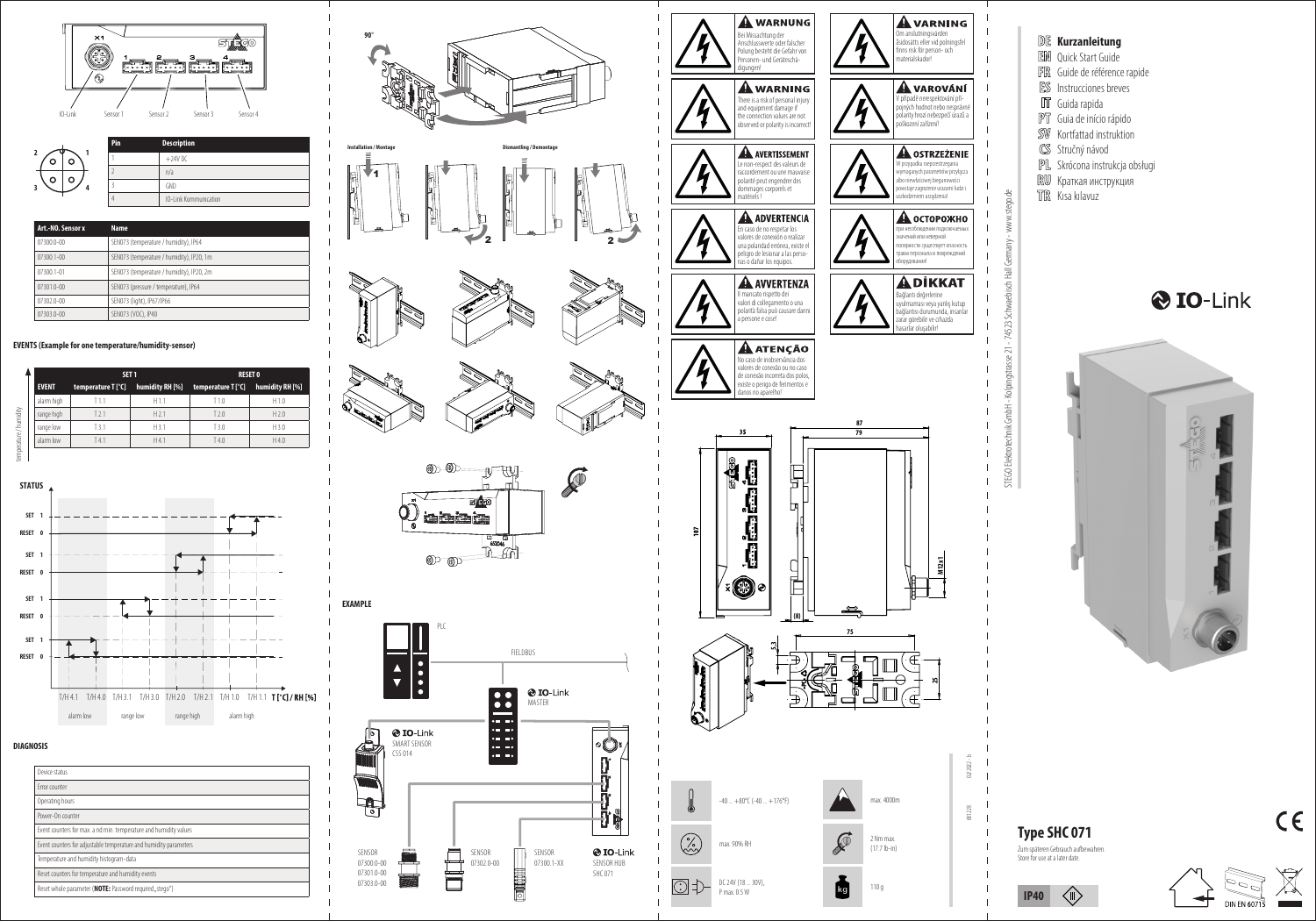



| Art.-NO. Sensor x | <b>Name</b>                               |
|-------------------|-------------------------------------------|
| 07300.0-00        | SEN073 (temperature / humidity), IP64     |
| $07300.1 - 00$    | SEN073 (temperature / humidity), IP20, 1m |
| 07300.1-01        | SEN073 (temperature / humidity), IP20, 2m |
| 07301.0-00        | SEN073 (pressure / temperature), IP64     |
| $07302.0 - 00$    | SEN073 (light), IP67/IP66                 |
| 07303.0-00        | SEN073 (VOC), IP40                        |

#### **EVENTS (Example for one temperature/humidity-sensor)**

| humidity RH [%]<br>temperature T [°C]<br>H1.0 |
|-----------------------------------------------|
|                                               |
|                                               |
| H <sub>2.0</sub>                              |
| H 3.0                                         |
| H4.0                                          |
|                                               |



#### **DIAGNOSIS**

| Device status                                                     |  |
|-------------------------------------------------------------------|--|
| Frror counter                                                     |  |
| Operating hours                                                   |  |
| Power-On counter                                                  |  |
| Event counters for max, a nd min, temperature and humidity values |  |
| Event counters for adjustable temperature and humidity parameters |  |
| Temperature and humidity histogram-data                           |  |
| Reset counters for temperature and humidity events                |  |
| Reset whole parameter (NOTE: Password required, stego")           |  |















# **Kurzanleitung** EN Quick Start Guide Guide de référence rapide Instrucciones breves **IT** Guida rapida PT Guia de início rápido SW Kortfattad instruktion Stručný návod Skrócona instrukcja obsługi RU Краткая инструкция TR Kısa kılavuz O IO-Link  $\Theta$

STEGO Elektrotechnik GmbH - Kolpingstrasse 21 - 74523 Schwaebisch Hall Germany - www.stego.de

Kolpingstrasse 21 - 74523 Schw

GmbH

**STEGO Elektro** 

w.stego.de

ξ  $\geq$ 

sch Hall

÷iá



 $\langle \mathbb{I} \rangle$ 

**IP40**

 $\overline{\phantom{0}}$ 



 $C \in$